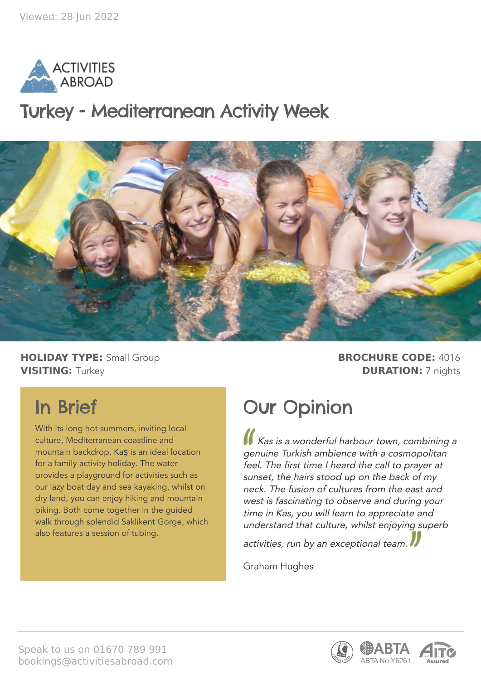

### Turkey - Mediterranean Activity Week



**HOLIDAY TYPE:** Small Group **BROCHURE CODE:** 4016 **VISITING:** Turkey **DURATION:** 7 nights

### In Brief

With its long hot summers, inviting local culture, Mediterranean coastline and mountain backdrop, Kaş is an ideal location for a family activity holiday. The water provides a playground for activities such as our lazy boat day and sea kayaking, whilst on dry land, you can enjoy hiking and mountain biking. Both come together in the guided walk through splendid Saklikent Gorge, which also features a session of tubing.

### Our Opinion

Kas is a wonderful harbour town, combining a genuine Turkish ambience with a cosmopolitan feel. The first time I heard the call to prayer at sunset, the hairs stood up on the back of my neck. The fusion of cultures from the east and west is fascinating to observe and during your time in Kas, you will learn to appreciate and understand that culture, whilst enjoying superb

activities, run by an exceptional team.

Graham Hughes



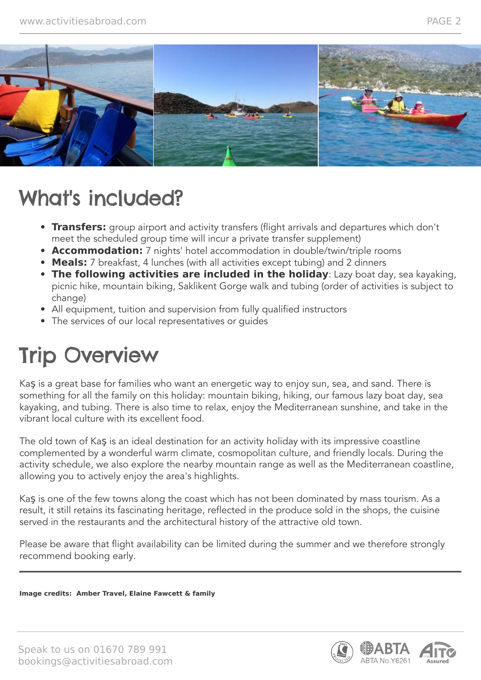

### What's included?

- **Transfers:** group airport and activity transfers (flight arrivals and departures which don't meet the scheduled group time will incur a private transfer supplement)
- **Accommodation:** 7 nights' hotel accommodation in double/twin/triple rooms
- **Meals:** 7 breakfast, 4 lunches (with all activities except tubing) and 2 dinners
- **The following activities are included in the holiday**: Lazy boat day, sea kayaking, picnic hike, mountain biking, Saklikent Gorge walk and tubing (order of activities is subject to change)
- All equipment, tuition and supervision from fully qualified instructors
- The services of our local representatives or guides

# **Trip Overview**

Kaş is a great base for families who want an energetic way to enjoy sun, sea, and sand. There is something for all the family on this holiday: mountain biking, hiking, our famous lazy boat day, sea kayaking, and tubing. There is also time to relax, enjoy the Mediterranean sunshine, and take in the vibrant local culture with its excellent food.

The old town of Kaş is an ideal destination for an activity holiday with its impressive coastline complemented by a wonderful warm climate, cosmopolitan culture, and friendly locals. During the activity schedule, we also explore the nearby mountain range as well as the Mediterranean coastline, allowing you to actively enjoy the area's highlights.

Kaş is one of the few towns along the coast which has not been dominated by mass tourism. As a result, it still retains its fascinating heritage, reflected in the produce sold in the shops, the cuisine served in the restaurants and the architectural history of the attractive old town.

Please be aware that flight availability can be limited during the summer and we therefore strongly recommend booking early.

**Image credits: Amber Travel, Elaine Fawcett & family**

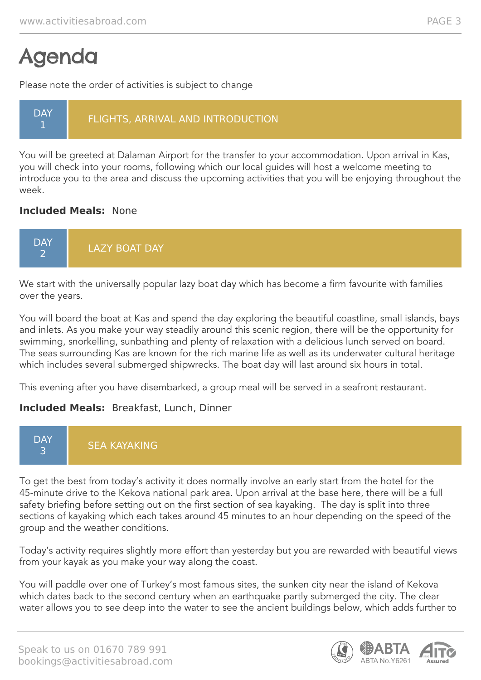# Agenda

Please note the order of activities is subject to change

#### **DAY** 1 FLIGHTS, ARRIVAL AND INTRODUCTION

You will be greeted at Dalaman Airport for the transfer to your accommodation. Upon arrival in Kas, you will check into your rooms, following which our local guides will host a welcome meeting to introduce you to the area and discuss the upcoming activities that you will be enjoying throughout the week.

### **Included Meals:** None



We start with the universally popular lazy boat day which has become a firm favourite with families over the years.

You will board the boat at Kas and spend the day exploring the beautiful coastline, small islands, bays and inlets. As you make your way steadily around this scenic region, there will be the opportunity for swimming, snorkelling, sunbathing and plenty of relaxation with a delicious lunch served on board. The seas surrounding Kas are known for the rich marine life as well as its underwater cultural heritage which includes several submerged shipwrecks. The boat day will last around six hours in total.

This evening after you have disembarked, a group meal will be served in a seafront restaurant.

#### **Included Meals:** Breakfast, Lunch, Dinner

**DAY** 3 SEA KAYAKING

To get the best from today's activity it does normally involve an early start from the hotel for the 45-minute drive to the Kekova national park area. Upon arrival at the base here, there will be a full safety briefing before setting out on the first section of sea kayaking. The day is split into three sections of kayaking which each takes around 45 minutes to an hour depending on the speed of the group and the weather conditions.

Today's activity requires slightly more effort than yesterday but you are rewarded with beautiful views from your kayak as you make your way along the coast.

You will paddle over one of Turkey's most famous sites, the sunken city near the island of Kekova which dates back to the second century when an earthquake partly submerged the city. The clear water allows you to see deep into the water to see the ancient buildings below, which adds further to



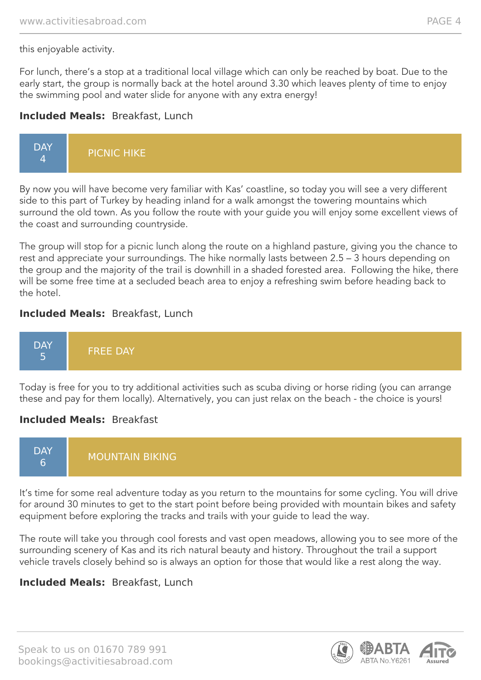this enjoyable activity.

For lunch, there's a stop at a traditional local village which can only be reached by boat. Due to the early start, the group is normally back at the hotel around 3.30 which leaves plenty of time to enjoy the swimming pool and water slide for anyone with any extra energy!

#### **Included Meals:** Breakfast, Lunch

|--|

By now you will have become very familiar with Kas' coastline, so today you will see a very different side to this part of Turkey by heading inland for a walk amongst the towering mountains which surround the old town. As you follow the route with your guide you will enjoy some excellent views of the coast and surrounding countryside.

The group will stop for a picnic lunch along the route on a highland pasture, giving you the chance to rest and appreciate your surroundings. The hike normally lasts between 2.5 – 3 hours depending on the group and the majority of the trail is downhill in a shaded forested area. Following the hike, there will be some free time at a secluded beach area to enjoy a refreshing swim before heading back to the hotel.

#### **Included Meals:** Breakfast, Lunch



Today is free for you to try additional activities such as scuba diving or horse riding (you can arrange these and pay for them locally). Alternatively, you can just relax on the beach - the choice is yours!

#### **Included Meals:** Breakfast



It's time for some real adventure today as you return to the mountains for some cycling. You will drive for around 30 minutes to get to the start point before being provided with mountain bikes and safety equipment before exploring the tracks and trails with your guide to lead the way.

The route will take you through cool forests and vast open meadows, allowing you to see more of the surrounding scenery of Kas and its rich natural beauty and history. Throughout the trail a support vehicle travels closely behind so is always an option for those that would like a rest along the way.

#### **Included Meals:** Breakfast, Lunch

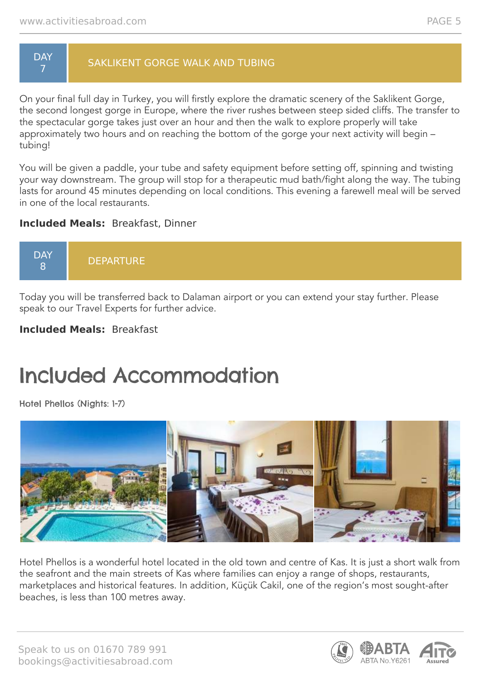#### **DAY** 7 SAKLIKENT GORGE WALK AND TUBING

On your final full day in Turkey, you will firstly explore the dramatic scenery of the Saklikent Gorge, the second longest gorge in Europe, where the river rushes between steep sided cliffs. The transfer to the spectacular gorge takes just over an hour and then the walk to explore properly will take approximately two hours and on reaching the bottom of the gorge your next activity will begin – tubing!

You will be given a paddle, your tube and safety equipment before setting off, spinning and twisting your way downstream. The group will stop for a therapeutic mud bath/fight along the way. The tubing lasts for around 45 minutes depending on local conditions. This evening a farewell meal will be served in one of the local restaurants.

#### **Included Meals:** Breakfast, Dinner



Today you will be transferred back to Dalaman airport or you can extend your stay further. Please speak to our Travel Experts for further advice.

#### **Included Meals:** Breakfast

# Included Accommodation

Hotel Phellos (Nights: 1-7)



Hotel Phellos is a wonderful hotel located in the old town and centre of Kas. It is just a short walk from the seafront and the main streets of Kas where families can enjoy a range of shops, restaurants, marketplaces and historical features. In addition, Küçük Cakil, one of the region's most sought-after beaches, is less than 100 metres away.



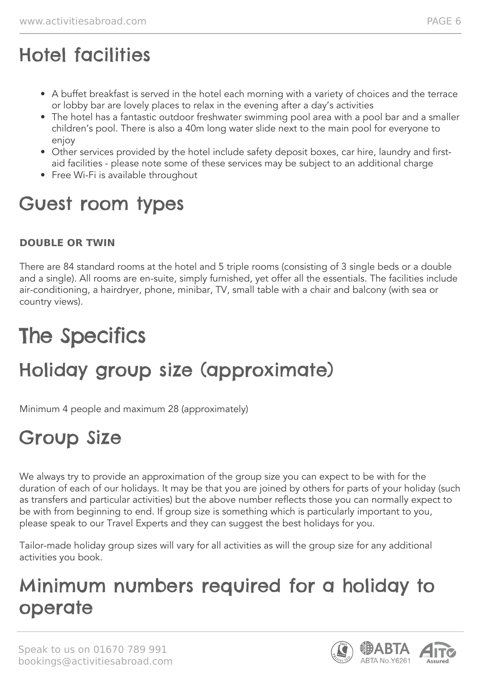# Hotel facilities

- A buffet breakfast is served in the hotel each morning with a variety of choices and the terrace or lobby bar are lovely places to relax in the evening after a day's activities
- The hotel has a fantastic outdoor freshwater swimming pool area with a pool bar and a smaller children's pool. There is also a 40m long water slide next to the main pool for everyone to enjoy
- Other services provided by the hotel include safety deposit boxes, car hire, laundry and firstaid facilities - please note some of these services may be subject to an additional charge
- Free Wi-Fi is available throughout

# Guest room types

### **DOUBLE OR TWIN**

There are 84 standard rooms at the hotel and 5 triple rooms (consisting of 3 single beds or a double and a single). All rooms are en-suite, simply furnished, yet offer all the essentials. The facilities include air-conditioning, a hairdryer, phone, minibar, TV, small table with a chair and balcony (with sea or country views).

# The Specifics

# Holiday group size (approximate)

Minimum 4 people and maximum 28 (approximately)

# Group Size

We always try to provide an approximation of the group size you can expect to be with for the duration of each of our holidays. It may be that you are joined by others for parts of your holiday (such as transfers and particular activities) but the above number reflects those you can normally expect to be with from beginning to end. If group size is something which is particularly important to you, please speak to our Travel Experts and they can suggest the best holidays for you.

Tailor-made holiday group sizes will vary for all activities as will the group size for any additional activities you book.

### Minimum numbers required for a holiday to operate